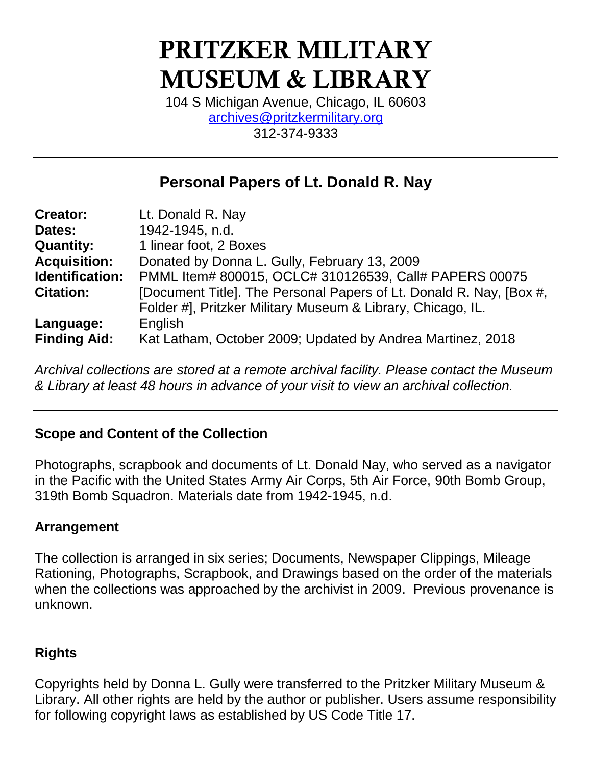# PRITZKER MILITARY MUSEUM & LIBRARY

104 S Michigan Avenue, Chicago, IL 60603 [archives@pritzkermilitary.org](mailto:archives@pritzkermilitary.org) 312-374-9333

# **Personal Papers of Lt. Donald R. Nay**

| <b>Creator:</b>     | Lt. Donald R. Nay                                                   |
|---------------------|---------------------------------------------------------------------|
| Dates:              | 1942-1945, n.d.                                                     |
| <b>Quantity:</b>    | 1 linear foot, 2 Boxes                                              |
| <b>Acquisition:</b> | Donated by Donna L. Gully, February 13, 2009                        |
| Identification:     | PMML Item# 800015, OCLC# 310126539, Call# PAPERS 00075              |
| <b>Citation:</b>    | [Document Title]. The Personal Papers of Lt. Donald R. Nay, [Box #, |
|                     | Folder #], Pritzker Military Museum & Library, Chicago, IL.         |
| Language:           | English                                                             |
| <b>Finding Aid:</b> | Kat Latham, October 2009; Updated by Andrea Martinez, 2018          |

*Archival collections are stored at a remote archival facility. Please contact the Museum & Library at least 48 hours in advance of your visit to view an archival collection.*

# **Scope and Content of the Collection**

Photographs, scrapbook and documents of Lt. Donald Nay, who served as a navigator in the Pacific with the United States Army Air Corps, 5th Air Force, 90th Bomb Group, 319th Bomb Squadron. Materials date from 1942-1945, n.d.

# **Arrangement**

The collection is arranged in six series; Documents, Newspaper Clippings, Mileage Rationing, Photographs, Scrapbook, and Drawings based on the order of the materials when the collections was approached by the archivist in 2009. Previous provenance is unknown.

# **Rights**

Copyrights held by Donna L. Gully were transferred to the Pritzker Military Museum & Library. All other rights are held by the author or publisher. Users assume responsibility for following copyright laws as established by US Code Title 17.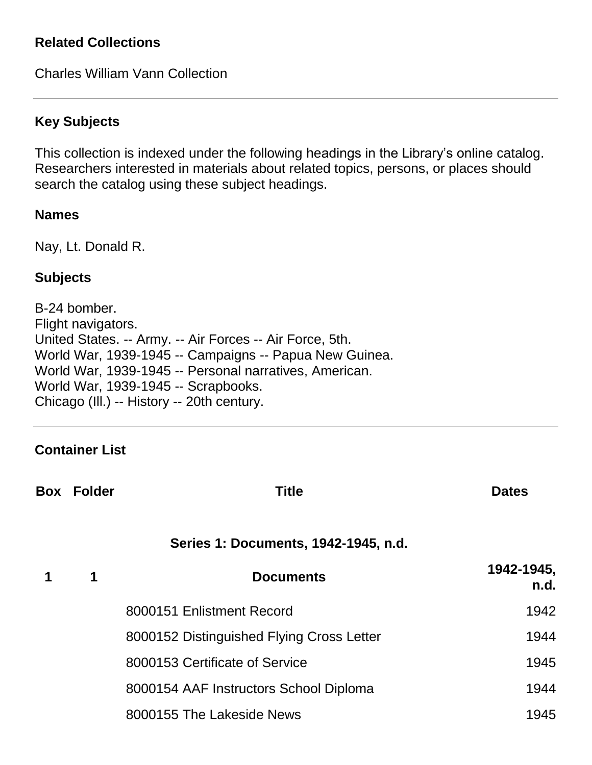#### **Related Collections**

Charles William Vann Collection

# **Key Subjects**

This collection is indexed under the following headings in the Library's online catalog. Researchers interested in materials about related topics, persons, or places should search the catalog using these subject headings.

#### **Names**

Nay, Lt. Donald R.

#### **Subjects**

B-24 bomber. Flight navigators. United States. -- Army. -- Air Forces -- Air Force, 5th. World War, 1939-1945 -- Campaigns -- Papua New Guinea. World War, 1939-1945 -- Personal narratives, American. World War, 1939-1945 -- Scrapbooks. Chicago (Ill.) -- History -- 20th century.

#### **Container List**

| <b>Box Folder</b> | <b>Title</b>                              | <b>Dates</b>       |
|-------------------|-------------------------------------------|--------------------|
|                   | Series 1: Documents, 1942-1945, n.d.      |                    |
| 1                 | <b>Documents</b>                          | 1942-1945,<br>n.d. |
|                   | 8000151 Enlistment Record                 | 1942               |
|                   | 8000152 Distinguished Flying Cross Letter | 1944               |
|                   | 8000153 Certificate of Service            | 1945               |
|                   | 8000154 AAF Instructors School Diploma    | 1944               |
|                   | 8000155 The Lakeside News                 | 1945               |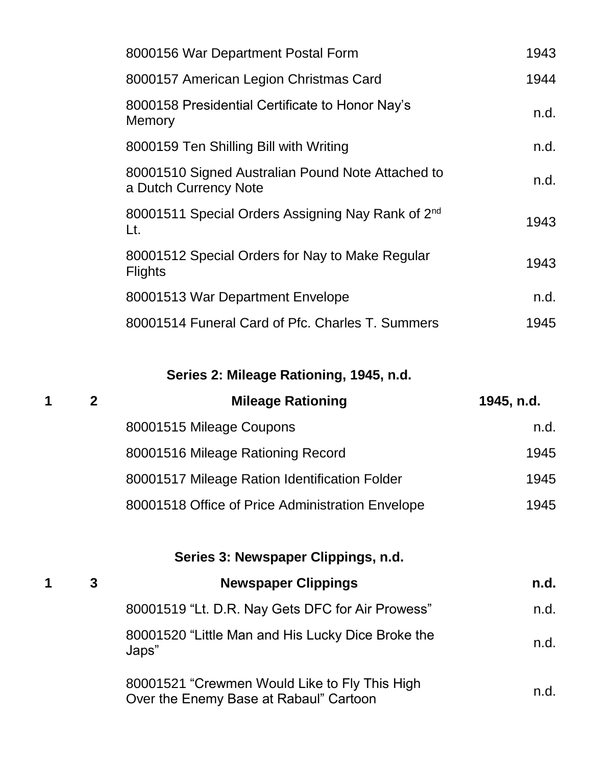| 8000156 War Department Postal Form                                         | 1943 |
|----------------------------------------------------------------------------|------|
| 8000157 American Legion Christmas Card                                     | 1944 |
| 8000158 Presidential Certificate to Honor Nay's<br>Memory                  | n.d. |
| 8000159 Ten Shilling Bill with Writing                                     | n.d. |
| 80001510 Signed Australian Pound Note Attached to<br>a Dutch Currency Note | n.d. |
| 80001511 Special Orders Assigning Nay Rank of 2 <sup>nd</sup><br>Lt.       | 1943 |
| 80001512 Special Orders for Nay to Make Regular<br><b>Flights</b>          | 1943 |
| 80001513 War Department Envelope                                           | n.d. |
| 80001514 Funeral Card of Pfc. Charles T. Summers                           | 1945 |

**Series 2: Mileage Rationing, 1945, n.d.**

| 1 | $\mathbf{2}$ | <b>Mileage Rationing</b>                                                                | 1945, n.d. |
|---|--------------|-----------------------------------------------------------------------------------------|------------|
|   |              | 80001515 Mileage Coupons                                                                | n.d.       |
|   |              | 80001516 Mileage Rationing Record                                                       | 1945       |
|   |              | 80001517 Mileage Ration Identification Folder                                           | 1945       |
|   |              | 80001518 Office of Price Administration Envelope                                        | 1945       |
|   |              | Series 3: Newspaper Clippings, n.d.                                                     |            |
| 1 | 3            | <b>Newspaper Clippings</b>                                                              | n.d.       |
|   |              | 80001519 "Lt. D.R. Nay Gets DFC for Air Prowess"                                        | n.d.       |
|   |              | 80001520 "Little Man and His Lucky Dice Broke the<br>Japs"                              | n.d.       |
|   |              | 80001521 "Crewmen Would Like to Fly This High<br>Over the Enemy Base at Rabaul" Cartoon | n.d.       |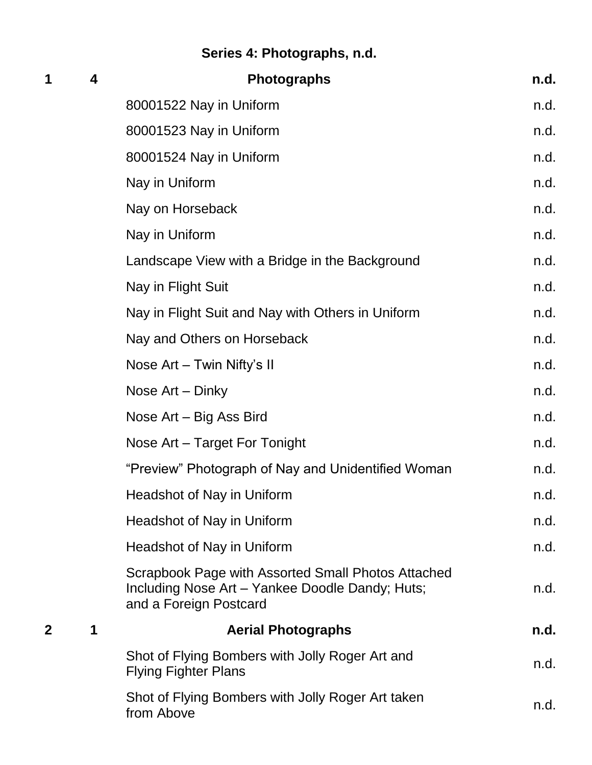# **Series 4: Photographs, n.d.**

| 1 | 4 | <b>Photographs</b>                                                                                                              | n.d. |
|---|---|---------------------------------------------------------------------------------------------------------------------------------|------|
|   |   | 80001522 Nay in Uniform                                                                                                         | n.d. |
|   |   | 80001523 Nay in Uniform                                                                                                         | n.d. |
|   |   | 80001524 Nay in Uniform                                                                                                         | n.d. |
|   |   | Nay in Uniform                                                                                                                  | n.d. |
|   |   | Nay on Horseback                                                                                                                | n.d. |
|   |   | Nay in Uniform                                                                                                                  | n.d. |
|   |   | Landscape View with a Bridge in the Background                                                                                  | n.d. |
|   |   | Nay in Flight Suit                                                                                                              | n.d. |
|   |   | Nay in Flight Suit and Nay with Others in Uniform                                                                               | n.d. |
|   |   | Nay and Others on Horseback                                                                                                     | n.d. |
|   |   | Nose Art - Twin Nifty's II                                                                                                      | n.d. |
|   |   | Nose Art - Dinky                                                                                                                | n.d. |
|   |   | Nose Art – Big Ass Bird                                                                                                         | n.d. |
|   |   | Nose Art - Target For Tonight                                                                                                   | n.d. |
|   |   | "Preview" Photograph of Nay and Unidentified Woman                                                                              | n.d. |
|   |   | <b>Headshot of Nay in Uniform</b>                                                                                               | n.d. |
|   |   | Headshot of Nay in Uniform                                                                                                      | n.d. |
|   |   | Headshot of Nay in Uniform                                                                                                      | n.d. |
|   |   | Scrapbook Page with Assorted Small Photos Attached<br>Including Nose Art - Yankee Doodle Dandy; Huts;<br>and a Foreign Postcard | n.d. |
| 2 | 1 | <b>Aerial Photographs</b>                                                                                                       | n.d. |
|   |   | Shot of Flying Bombers with Jolly Roger Art and<br><b>Flying Fighter Plans</b>                                                  | n.d. |
|   |   | Shot of Flying Bombers with Jolly Roger Art taken<br>from Above                                                                 | n.d. |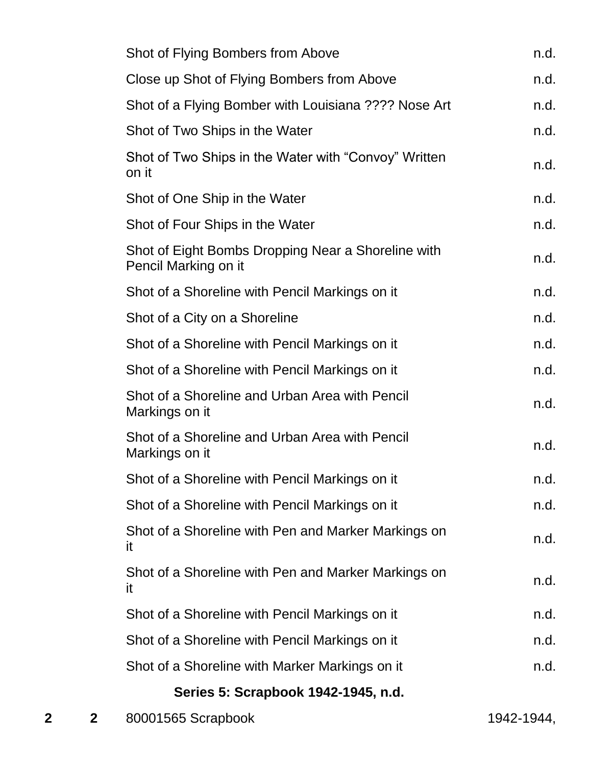| Shot of Flying Bombers from Above                                          | n.d. |
|----------------------------------------------------------------------------|------|
| Close up Shot of Flying Bombers from Above                                 | n.d. |
| Shot of a Flying Bomber with Louisiana ???? Nose Art                       | n.d. |
| Shot of Two Ships in the Water                                             | n.d. |
| Shot of Two Ships in the Water with "Convoy" Written<br>on it              | n.d. |
| Shot of One Ship in the Water                                              | n.d. |
| Shot of Four Ships in the Water                                            | n.d. |
| Shot of Eight Bombs Dropping Near a Shoreline with<br>Pencil Marking on it | n.d. |
| Shot of a Shoreline with Pencil Markings on it                             | n.d. |
| Shot of a City on a Shoreline                                              | n.d. |
| Shot of a Shoreline with Pencil Markings on it                             | n.d. |
| Shot of a Shoreline with Pencil Markings on it                             | n.d. |
| Shot of a Shoreline and Urban Area with Pencil<br>Markings on it           | n.d. |
| Shot of a Shoreline and Urban Area with Pencil<br>Markings on it           | n.d. |
| Shot of a Shoreline with Pencil Markings on it                             | n.d. |
| Shot of a Shoreline with Pencil Markings on it                             | n.d. |
| Shot of a Shoreline with Pen and Marker Markings on<br>it                  | n.d. |
| Shot of a Shoreline with Pen and Marker Markings on<br><b>it</b>           | n.d. |
| Shot of a Shoreline with Pencil Markings on it                             | n.d. |
| Shot of a Shoreline with Pencil Markings on it                             | n.d. |
| Shot of a Shoreline with Marker Markings on it                             | n.d. |
| Series 5: Scrapbook 1942-1945, n.d.                                        |      |

# **2 2** 80001565 Scrapbook 1942-1944,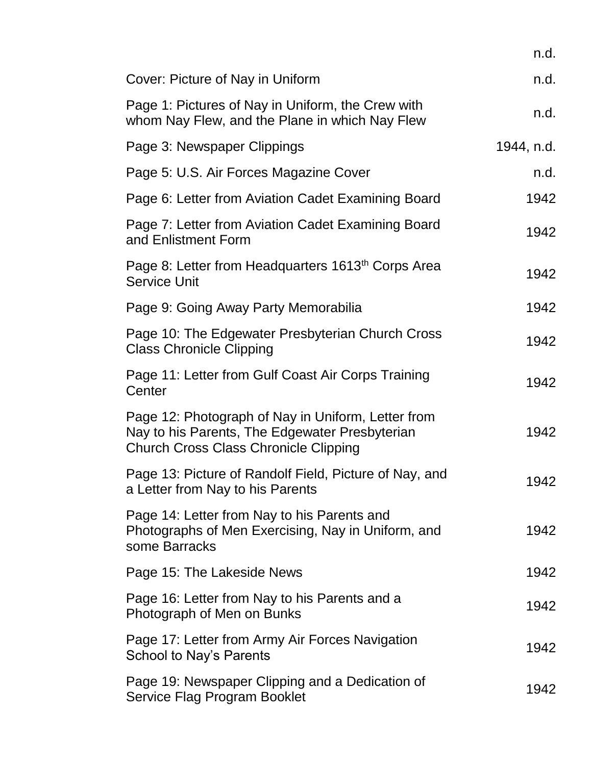|                                                                                                                                                      | n.d.       |
|------------------------------------------------------------------------------------------------------------------------------------------------------|------------|
| Cover: Picture of Nay in Uniform                                                                                                                     | n.d.       |
| Page 1: Pictures of Nay in Uniform, the Crew with<br>whom Nay Flew, and the Plane in which Nay Flew                                                  | n.d.       |
| Page 3: Newspaper Clippings                                                                                                                          | 1944, n.d. |
| Page 5: U.S. Air Forces Magazine Cover                                                                                                               | n.d.       |
| Page 6: Letter from Aviation Cadet Examining Board                                                                                                   | 1942       |
| Page 7: Letter from Aviation Cadet Examining Board<br>and Enlistment Form                                                                            | 1942       |
| Page 8: Letter from Headquarters 1613 <sup>th</sup> Corps Area<br><b>Service Unit</b>                                                                | 1942       |
| Page 9: Going Away Party Memorabilia                                                                                                                 | 1942       |
| Page 10: The Edgewater Presbyterian Church Cross<br><b>Class Chronicle Clipping</b>                                                                  | 1942       |
| Page 11: Letter from Gulf Coast Air Corps Training<br>Center                                                                                         | 1942       |
| Page 12: Photograph of Nay in Uniform, Letter from<br>Nay to his Parents, The Edgewater Presbyterian<br><b>Church Cross Class Chronicle Clipping</b> | 1942       |
| Page 13: Picture of Randolf Field, Picture of Nay, and<br>a Letter from Nay to his Parents                                                           | 1942       |
| Page 14: Letter from Nay to his Parents and<br>Photographs of Men Exercising, Nay in Uniform, and<br>some Barracks                                   | 1942       |
| Page 15: The Lakeside News                                                                                                                           | 1942       |
| Page 16: Letter from Nay to his Parents and a<br>Photograph of Men on Bunks                                                                          | 1942       |
| Page 17: Letter from Army Air Forces Navigation<br>School to Nay's Parents                                                                           | 1942       |
| Page 19: Newspaper Clipping and a Dedication of<br>Service Flag Program Booklet                                                                      | 1942       |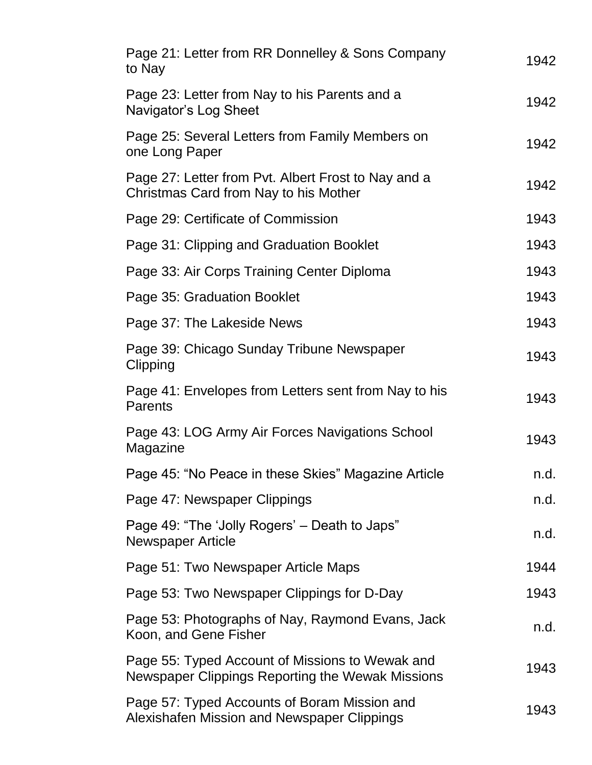| Page 21: Letter from RR Donnelley & Sons Company<br>to Nay                                          | 1942 |
|-----------------------------------------------------------------------------------------------------|------|
| Page 23: Letter from Nay to his Parents and a<br>Navigator's Log Sheet                              | 1942 |
| Page 25: Several Letters from Family Members on<br>one Long Paper                                   | 1942 |
| Page 27: Letter from Pvt. Albert Frost to Nay and a<br>Christmas Card from Nay to his Mother        | 1942 |
| Page 29: Certificate of Commission                                                                  | 1943 |
| Page 31: Clipping and Graduation Booklet                                                            | 1943 |
| Page 33: Air Corps Training Center Diploma                                                          | 1943 |
| Page 35: Graduation Booklet                                                                         | 1943 |
| Page 37: The Lakeside News                                                                          | 1943 |
| Page 39: Chicago Sunday Tribune Newspaper<br>Clipping                                               | 1943 |
| Page 41: Envelopes from Letters sent from Nay to his<br><b>Parents</b>                              | 1943 |
| Page 43: LOG Army Air Forces Navigations School<br>Magazine                                         | 1943 |
| Page 45: "No Peace in these Skies" Magazine Article                                                 | n.d. |
| Page 47: Newspaper Clippings                                                                        | n.d. |
| Page 49: "The 'Jolly Rogers' – Death to Japs"<br><b>Newspaper Article</b>                           | n.d. |
| Page 51: Two Newspaper Article Maps                                                                 | 1944 |
| Page 53: Two Newspaper Clippings for D-Day                                                          | 1943 |
| Page 53: Photographs of Nay, Raymond Evans, Jack<br>Koon, and Gene Fisher                           | n.d. |
| Page 55: Typed Account of Missions to Wewak and<br>Newspaper Clippings Reporting the Wewak Missions | 1943 |
| Page 57: Typed Accounts of Boram Mission and<br>Alexishafen Mission and Newspaper Clippings         | 1943 |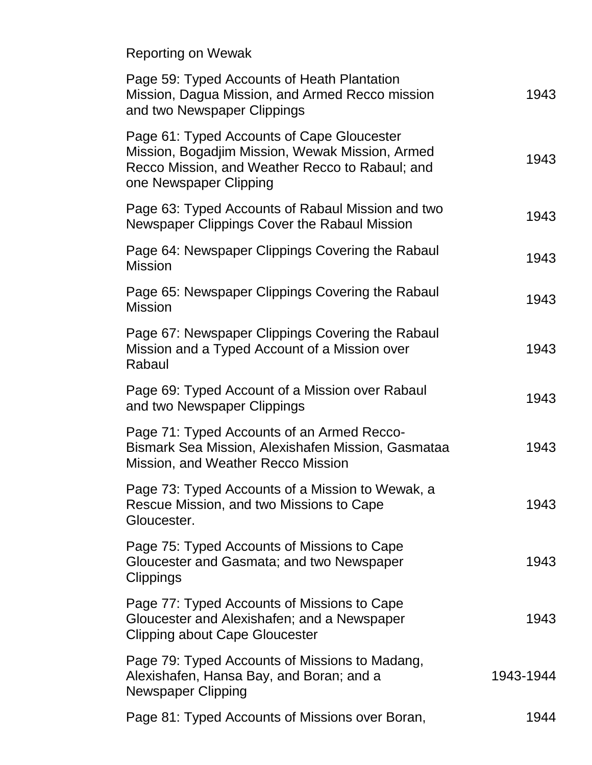Reporting on Wewak

| Page 59: Typed Accounts of Heath Plantation<br>Mission, Dagua Mission, and Armed Recco mission<br>and two Newspaper Clippings                                              | 1943      |
|----------------------------------------------------------------------------------------------------------------------------------------------------------------------------|-----------|
| Page 61: Typed Accounts of Cape Gloucester<br>Mission, Bogadjim Mission, Wewak Mission, Armed<br>Recco Mission, and Weather Recco to Rabaul; and<br>one Newspaper Clipping | 1943      |
| Page 63: Typed Accounts of Rabaul Mission and two<br>Newspaper Clippings Cover the Rabaul Mission                                                                          | 1943      |
| Page 64: Newspaper Clippings Covering the Rabaul<br><b>Mission</b>                                                                                                         | 1943      |
| Page 65: Newspaper Clippings Covering the Rabaul<br><b>Mission</b>                                                                                                         | 1943      |
| Page 67: Newspaper Clippings Covering the Rabaul<br>Mission and a Typed Account of a Mission over<br>Rabaul                                                                | 1943      |
| Page 69: Typed Account of a Mission over Rabaul<br>and two Newspaper Clippings                                                                                             | 1943      |
| Page 71: Typed Accounts of an Armed Recco-<br>Bismark Sea Mission, Alexishafen Mission, Gasmataa<br>Mission, and Weather Recco Mission                                     | 1943      |
| Page 73: Typed Accounts of a Mission to Wewak, a<br>Rescue Mission, and two Missions to Cape<br>Gloucester.                                                                | 1943      |
| Page 75: Typed Accounts of Missions to Cape<br>Gloucester and Gasmata; and two Newspaper<br><b>Clippings</b>                                                               | 1943      |
| Page 77: Typed Accounts of Missions to Cape<br>Gloucester and Alexishafen; and a Newspaper<br><b>Clipping about Cape Gloucester</b>                                        | 1943      |
| Page 79: Typed Accounts of Missions to Madang,<br>Alexishafen, Hansa Bay, and Boran; and a<br><b>Newspaper Clipping</b>                                                    | 1943-1944 |
| Page 81: Typed Accounts of Missions over Boran,                                                                                                                            | 1944      |